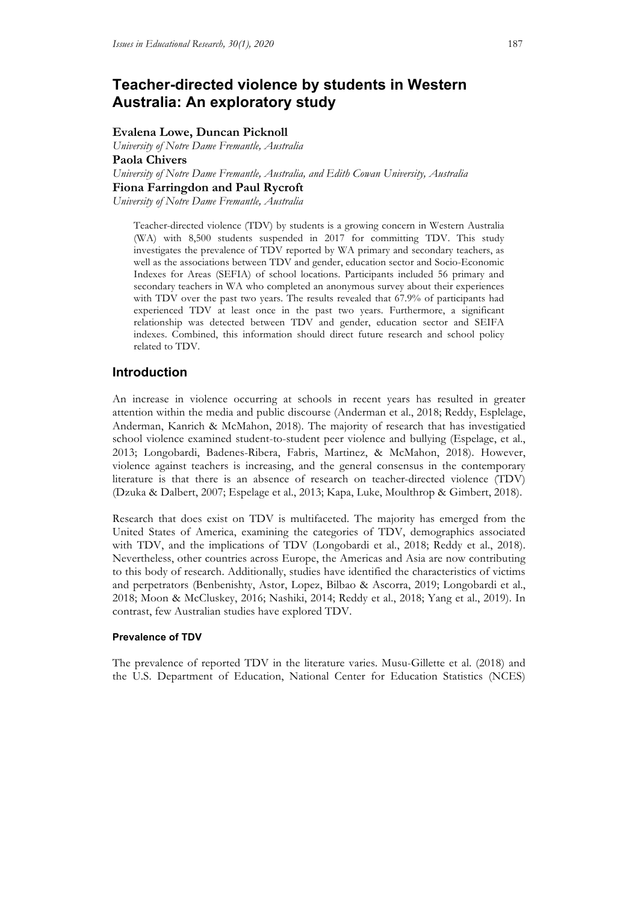# **Teacher-directed violence by students in Western Australia: An exploratory study**

# **Evalena Lowe, Duncan Picknoll**

*University of Notre Dame Fremantle, Australia* **Paola Chivers** *University of Notre Dame Fremantle, Australia, and Edith Cowan University, Australia* **Fiona Farringdon and Paul Rycroft**

*University of Notre Dame Fremantle, Australia*

Teacher-directed violence (TDV) by students is a growing concern in Western Australia (WA) with 8,500 students suspended in 2017 for committing TDV. This study investigates the prevalence of TDV reported by WA primary and secondary teachers, as well as the associations between TDV and gender, education sector and Socio-Economic Indexes for Areas (SEFIA) of school locations. Participants included 56 primary and secondary teachers in WA who completed an anonymous survey about their experiences with TDV over the past two years. The results revealed that 67.9% of participants had experienced TDV at least once in the past two years. Furthermore, a significant relationship was detected between TDV and gender, education sector and SEIFA indexes. Combined, this information should direct future research and school policy related to TDV.

# **Introduction**

An increase in violence occurring at schools in recent years has resulted in greater attention within the media and public discourse (Anderman et al., 2018; Reddy, Esplelage, Anderman, Kanrich & McMahon, 2018). The majority of research that has investigatied school violence examined student-to-student peer violence and bullying (Espelage, et al., 2013; Longobardi, Badenes-Ribera, Fabris, Martinez, & McMahon, 2018). However, violence against teachers is increasing, and the general consensus in the contemporary literature is that there is an absence of research on teacher-directed violence (TDV) (Dzuka & Dalbert, 2007; Espelage et al., 2013; Kapa, Luke, Moulthrop & Gimbert, 2018).

Research that does exist on TDV is multifaceted. The majority has emerged from the United States of America, examining the categories of TDV, demographics associated with TDV, and the implications of TDV (Longobardi et al., 2018; Reddy et al., 2018). Nevertheless, other countries across Europe, the Americas and Asia are now contributing to this body of research. Additionally, studies have identified the characteristics of victims and perpetrators (Benbenishty, Astor, Lopez, Bilbao & Ascorra, 2019; Longobardi et al., 2018; Moon & McCluskey, 2016; Nashiki, 2014; Reddy et al., 2018; Yang et al., 2019). In contrast, few Australian studies have explored TDV.

# **Prevalence of TDV**

The prevalence of reported TDV in the literature varies. Musu-Gillette et al. (2018) and the U.S. Department of Education, National Center for Education Statistics (NCES)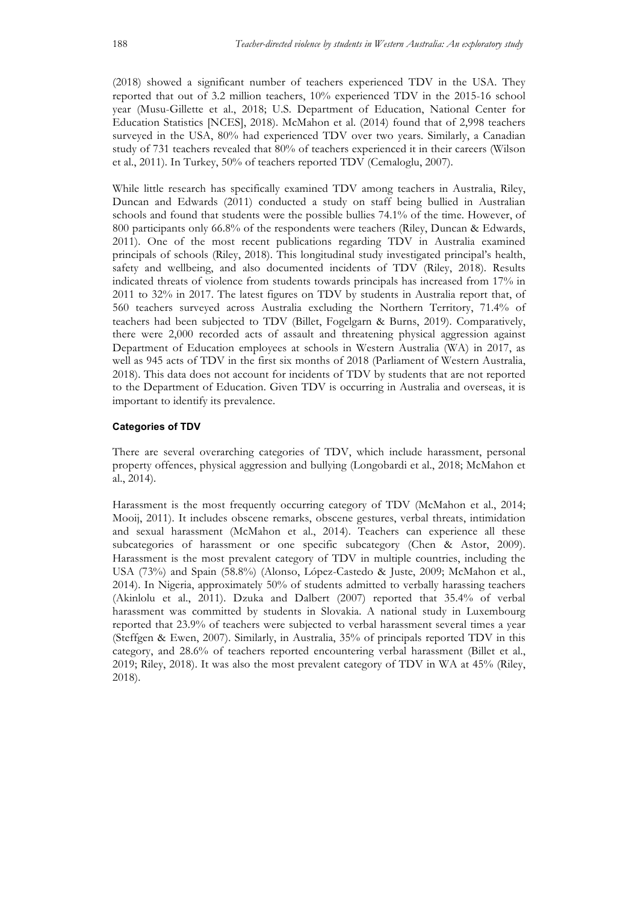(2018) showed a significant number of teachers experienced TDV in the USA. They reported that out of 3.2 million teachers, 10% experienced TDV in the 2015-16 school year (Musu-Gillette et al., 2018; U.S. Department of Education, National Center for Education Statistics [NCES], 2018). McMahon et al. (2014) found that of 2,998 teachers surveyed in the USA, 80% had experienced TDV over two years. Similarly, a Canadian study of 731 teachers revealed that 80% of teachers experienced it in their careers (Wilson et al., 2011). In Turkey, 50% of teachers reported TDV (Cemaloglu, 2007).

While little research has specifically examined TDV among teachers in Australia, Riley, Duncan and Edwards (2011) conducted a study on staff being bullied in Australian schools and found that students were the possible bullies 74.1% of the time. However, of 800 participants only 66.8% of the respondents were teachers (Riley, Duncan & Edwards, 2011). One of the most recent publications regarding TDV in Australia examined principals of schools (Riley, 2018). This longitudinal study investigated principal's health, safety and wellbeing, and also documented incidents of TDV (Riley, 2018). Results indicated threats of violence from students towards principals has increased from 17% in 2011 to 32% in 2017. The latest figures on TDV by students in Australia report that, of 560 teachers surveyed across Australia excluding the Northern Territory, 71.4% of teachers had been subjected to TDV (Billet, Fogelgarn & Burns, 2019). Comparatively, there were 2,000 recorded acts of assault and threatening physical aggression against Department of Education employees at schools in Western Australia (WA) in 2017, as well as 945 acts of TDV in the first six months of 2018 (Parliament of Western Australia, 2018). This data does not account for incidents of TDV by students that are not reported to the Department of Education. Given TDV is occurring in Australia and overseas, it is important to identify its prevalence.

### **Categories of TDV**

There are several overarching categories of TDV, which include harassment, personal property offences, physical aggression and bullying (Longobardi et al., 2018; McMahon et al., 2014).

Harassment is the most frequently occurring category of TDV (McMahon et al., 2014; Mooij, 2011). It includes obscene remarks, obscene gestures, verbal threats, intimidation and sexual harassment (McMahon et al., 2014). Teachers can experience all these subcategories of harassment or one specific subcategory (Chen & Astor, 2009). Harassment is the most prevalent category of TDV in multiple countries, including the USA (73%) and Spain (58.8%) (Alonso, López-Castedo & Juste, 2009; McMahon et al., 2014). In Nigeria, approximately 50% of students admitted to verbally harassing teachers (Akinlolu et al., 2011). Dzuka and Dalbert (2007) reported that 35.4% of verbal harassment was committed by students in Slovakia. A national study in Luxembourg reported that 23.9% of teachers were subjected to verbal harassment several times a year (Steffgen & Ewen, 2007). Similarly, in Australia, 35% of principals reported TDV in this category, and 28.6% of teachers reported encountering verbal harassment (Billet et al., 2019; Riley, 2018). It was also the most prevalent category of TDV in WA at 45% (Riley, 2018).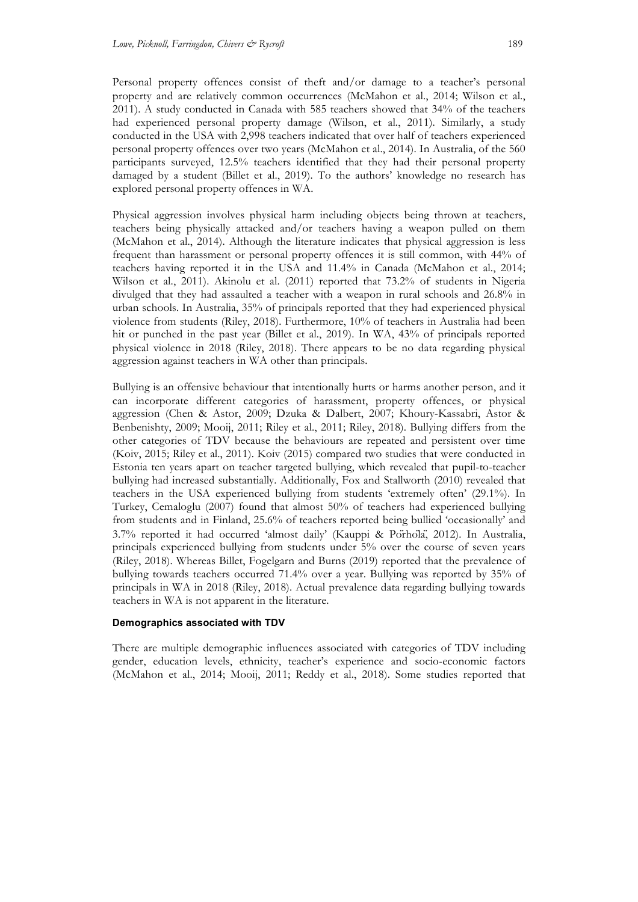Personal property offences consist of theft and/or damage to a teacher's personal property and are relatively common occurrences (McMahon et al., 2014; Wilson et al., 2011). A study conducted in Canada with 585 teachers showed that 34% of the teachers had experienced personal property damage (Wilson, et al., 2011). Similarly, a study conducted in the USA with 2,998 teachers indicated that over half of teachers experienced personal property offences over two years (McMahon et al., 2014). In Australia, of the 560 participants surveyed, 12.5% teachers identified that they had their personal property damaged by a student (Billet et al., 2019). To the authors' knowledge no research has explored personal property offences in WA.

Physical aggression involves physical harm including objects being thrown at teachers, teachers being physically attacked and/or teachers having a weapon pulled on them (McMahon et al., 2014). Although the literature indicates that physical aggression is less frequent than harassment or personal property offences it is still common, with 44% of teachers having reported it in the USA and 11.4% in Canada (McMahon et al., 2014; Wilson et al., 2011). Akinolu et al. (2011) reported that 73.2% of students in Nigeria divulged that they had assaulted a teacher with a weapon in rural schools and 26.8% in urban schools. In Australia, 35% of principals reported that they had experienced physical violence from students (Riley, 2018). Furthermore, 10% of teachers in Australia had been hit or punched in the past year (Billet et al., 2019). In WA, 43% of principals reported physical violence in 2018 (Riley, 2018). There appears to be no data regarding physical aggression against teachers in WA other than principals.

Bullying is an offensive behaviour that intentionally hurts or harms another person, and it can incorporate different categories of harassment, property offences, or physical aggression (Chen & Astor, 2009; Dzuka & Dalbert, 2007; Khoury-Kassabri, Astor & Benbenishty, 2009; Mooij, 2011; Riley et al., 2011; Riley, 2018). Bullying differs from the other categories of TDV because the behaviours are repeated and persistent over time (Koiv, 2015; Riley et al., 2011). Koiv (2015) compared two studies that were conducted in Estonia ten years apart on teacher targeted bullying, which revealed that pupil-to-teacher bullying had increased substantially. Additionally, Fox and Stallworth (2010) revealed that teachers in the USA experienced bullying from students 'extremely often' (29.1%). In Turkey, Cemaloglu (2007) found that almost 50% of teachers had experienced bullying from students and in Finland, 25.6% of teachers reported being bullied 'occasionally' and 3.7% reported it had occurred 'almost daily' (Kauppi & Pörhölä, 2012). In Australia, principals experienced bullying from students under 5% over the course of seven years (Riley, 2018). Whereas Billet, Fogelgarn and Burns (2019) reported that the prevalence of bullying towards teachers occurred 71.4% over a year. Bullying was reported by 35% of principals in WA in 2018 (Riley, 2018). Actual prevalence data regarding bullying towards teachers in WA is not apparent in the literature.

### **Demographics associated with TDV**

There are multiple demographic influences associated with categories of TDV including gender, education levels, ethnicity, teacher's experience and socio-economic factors (McMahon et al., 2014; Mooij, 2011; Reddy et al., 2018). Some studies reported that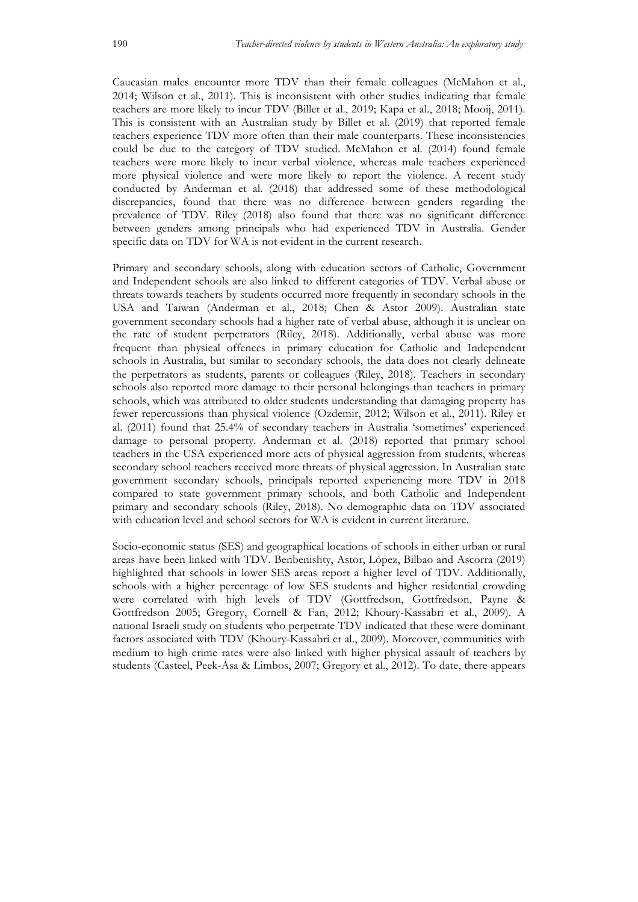Caucasian males encounter more TDV than their female colleagues (McMahon et al., 2014; Wilson et al., 2011). This is inconsistent with other studies indicating that female teachers are more likely to incur TDV (Billet et al., 2019; Kapa et al., 2018; Mooij, 2011). This is consistent with an Australian study by Billet et al. (2019) that reported female teachers experience TDV more often than their male counterparts. These inconsistencies could be due to the category of TDV studied. McMahon et al. (2014) found female teachers were more likely to incur verbal violence, whereas male teachers experienced more physical violence and were more likely to report the violence. A recent study conducted by Anderman et al. (2018) that addressed some of these methodological discrepancies, found that there was no difference between genders regarding the prevalence of TDV. Riley (2018) also found that there was no significant difference between genders among principals who had experienced TDV in Australia. Gender specific data on TDV for WA is not evident in the current research.

Primary and secondary schools, along with education sectors of Catholic, Government and Independent schools are also linked to different categories of TDV. Verbal abuse or threats towards teachers by students occurred more frequently in secondary schools in the USA and Taiwan (Anderman et al., 2018; Chen & Astor 2009). Australian state government secondary schools had a higher rate of verbal abuse, although it is unclear on the rate of student perpetrators (Riley, 2018). Additionally, verbal abuse was more frequent than physical offences in primary education for Catholic and Independent schools in Australia, but similar to secondary schools, the data does not clearly delineate the perpetrators as students, parents or colleagues (Riley, 2018). Teachers in secondary schools also reported more damage to their personal belongings than teachers in primary schools, which was attributed to older students understanding that damaging property has fewer repercussions than physical violence (Ozdemir, 2012; Wilson et al., 2011). Riley et al. (2011) found that 25.4% of secondary teachers in Australia 'sometimes' experienced damage to personal property. Anderman et al. (2018) reported that primary school teachers in the USA experienced more acts of physical aggression from students, whereas secondary school teachers received more threats of physical aggression. In Australian state government secondary schools, principals reported experiencing more TDV in 2018 compared to state government primary schools, and both Catholic and Independent primary and secondary schools (Riley, 2018). No demographic data on TDV associated with education level and school sectors for WA is evident in current literature.

Socio-economic status (SES) and geographical locations of schools in either urban or rural areas have been linked with TDV. Benbenishty, Astor, López, Bilbao and Ascorra (2019) highlighted that schools in lower SES areas report a higher level of TDV. Additionally, schools with a higher percentage of low SES students and higher residential crowding were correlated with high levels of TDV (Gottfredson, Gottfredson, Payne & Gottfredson 2005; Gregory, Cornell & Fan, 2012; Khoury-Kassabri et al., 2009). A national Israeli study on students who perpetrate TDV indicated that these were dominant factors associated with TDV (Khoury-Kassabri et al., 2009). Moreover, communities with medium to high crime rates were also linked with higher physical assault of teachers by students (Casteel, Peek-Asa & Limbos, 2007; Gregory et al., 2012). To date, there appears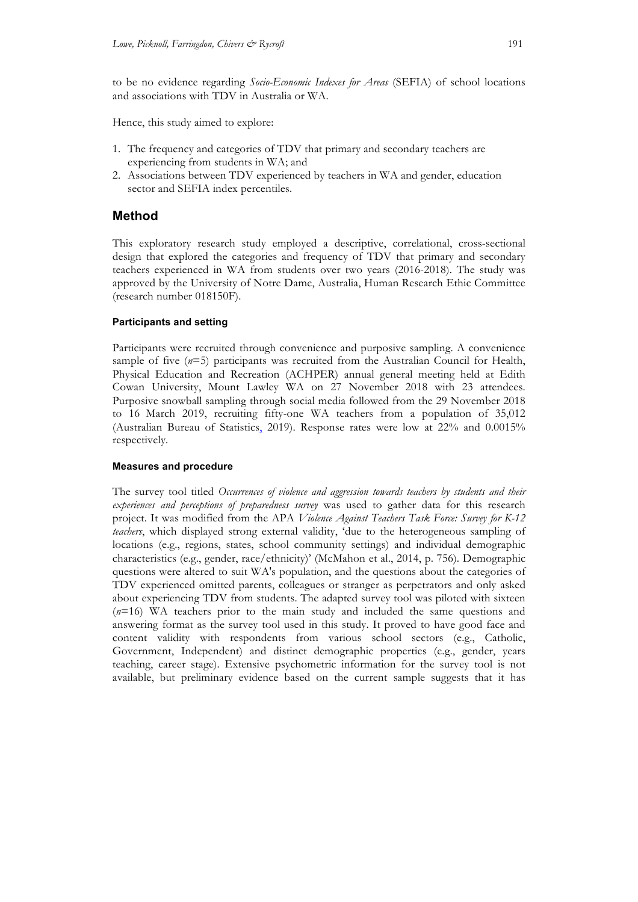to be no evidence regarding *Socio-Economic Indexes for Areas* (SEFIA) of school locations and associations with TDV in Australia or WA.

Hence, this study aimed to explore:

- 1. The frequency and categories of TDV that primary and secondary teachers are experiencing from students in WA; and
- 2. Associations between TDV experienced by teachers in WA and gender, education sector and SEFIA index percentiles.

# **Method**

This exploratory research study employed a descriptive, correlational, cross-sectional design that explored the categories and frequency of TDV that primary and secondary teachers experienced in WA from students over two years (2016-2018). The study was approved by the University of Notre Dame, Australia, Human Research Ethic Committee (research number 018150F).

### **Participants and setting**

Participants were recruited through convenience and purposive sampling. A convenience sample of five (*n*=5) participants was recruited from the Australian Council for Health, Physical Education and Recreation (ACHPER) annual general meeting held at Edith Cowan University, Mount Lawley WA on 27 November 2018 with 23 attendees. Purposive snowball sampling through social media followed from the 29 November 2018 to 16 March 2019, recruiting fifty-one WA teachers from a population of 35,012 (Australian Bureau of Statistics, 2019). Response rates were low at 22% and 0.0015% respectively.

#### **Measures and procedure**

The survey tool titled *Occurrences of violence and aggression towards teachers by students and their experiences and perceptions of preparedness survey* was used to gather data for this research project. It was modified from the APA *Violence Against Teachers Task Force: Survey for K-12 teachers*, which displayed strong external validity, 'due to the heterogeneous sampling of locations (e.g., regions, states, school community settings) and individual demographic characteristics (e.g., gender, race/ethnicity)' (McMahon et al., 2014, p. 756). Demographic questions were altered to suit WA's population, and the questions about the categories of TDV experienced omitted parents, colleagues or stranger as perpetrators and only asked about experiencing TDV from students. The adapted survey tool was piloted with sixteen (*n*=16) WA teachers prior to the main study and included the same questions and answering format as the survey tool used in this study. It proved to have good face and content validity with respondents from various school sectors (e.g., Catholic, Government, Independent) and distinct demographic properties (e.g., gender, years teaching, career stage). Extensive psychometric information for the survey tool is not available, but preliminary evidence based on the current sample suggests that it has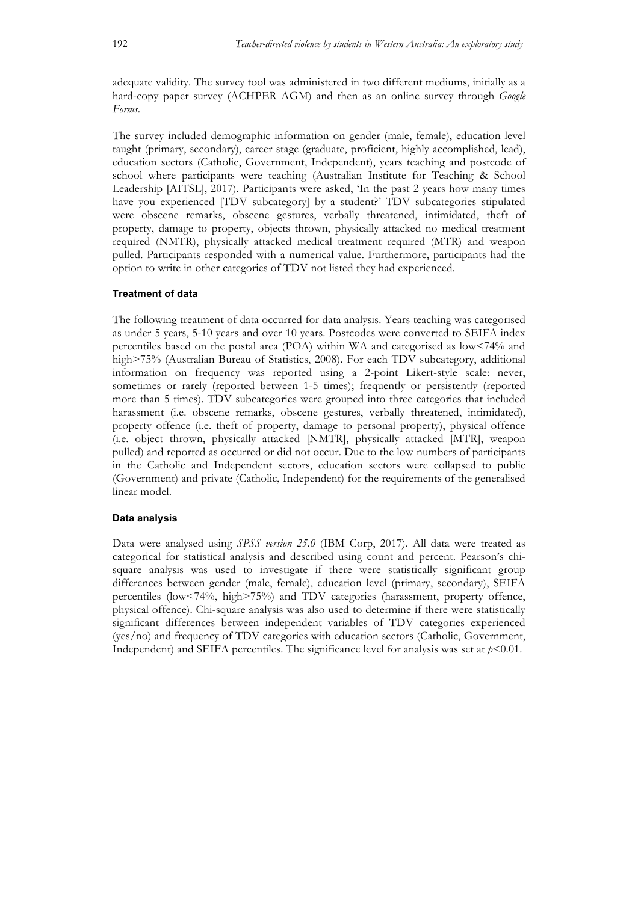adequate validity. The survey tool was administered in two different mediums, initially as a hard-copy paper survey (ACHPER AGM) and then as an online survey through *Google Forms*.

The survey included demographic information on gender (male, female), education level taught (primary, secondary), career stage (graduate, proficient, highly accomplished, lead), education sectors (Catholic, Government, Independent), years teaching and postcode of school where participants were teaching (Australian Institute for Teaching & School Leadership [AITSL], 2017). Participants were asked, 'In the past 2 years how many times have you experienced [TDV subcategory] by a student?' TDV subcategories stipulated were obscene remarks, obscene gestures, verbally threatened, intimidated, theft of property, damage to property, objects thrown, physically attacked no medical treatment required (NMTR), physically attacked medical treatment required (MTR) and weapon pulled. Participants responded with a numerical value. Furthermore, participants had the option to write in other categories of TDV not listed they had experienced.

#### **Treatment of data**

The following treatment of data occurred for data analysis. Years teaching was categorised as under 5 years, 5-10 years and over 10 years. Postcodes were converted to SEIFA index percentiles based on the postal area (POA) within WA and categorised as low<74% and high>75% (Australian Bureau of Statistics, 2008). For each TDV subcategory, additional information on frequency was reported using a 2-point Likert-style scale: never, sometimes or rarely (reported between 1-5 times); frequently or persistently (reported more than 5 times). TDV subcategories were grouped into three categories that included harassment (i.e. obscene remarks, obscene gestures, verbally threatened, intimidated), property offence (i.e. theft of property, damage to personal property), physical offence (i.e. object thrown, physically attacked [NMTR], physically attacked [MTR], weapon pulled) and reported as occurred or did not occur. Due to the low numbers of participants in the Catholic and Independent sectors, education sectors were collapsed to public (Government) and private (Catholic, Independent) for the requirements of the generalised linear model.

#### **Data analysis**

Data were analysed using *SPSS version 25.0* (IBM Corp, 2017). All data were treated as categorical for statistical analysis and described using count and percent. Pearson's chisquare analysis was used to investigate if there were statistically significant group differences between gender (male, female), education level (primary, secondary), SEIFA percentiles (low<74%, high>75%) and TDV categories (harassment, property offence, physical offence). Chi-square analysis was also used to determine if there were statistically significant differences between independent variables of TDV categories experienced (yes/no) and frequency of TDV categories with education sectors (Catholic, Government, Independent) and SEIFA percentiles. The significance level for analysis was set at  $p < 0.01$ .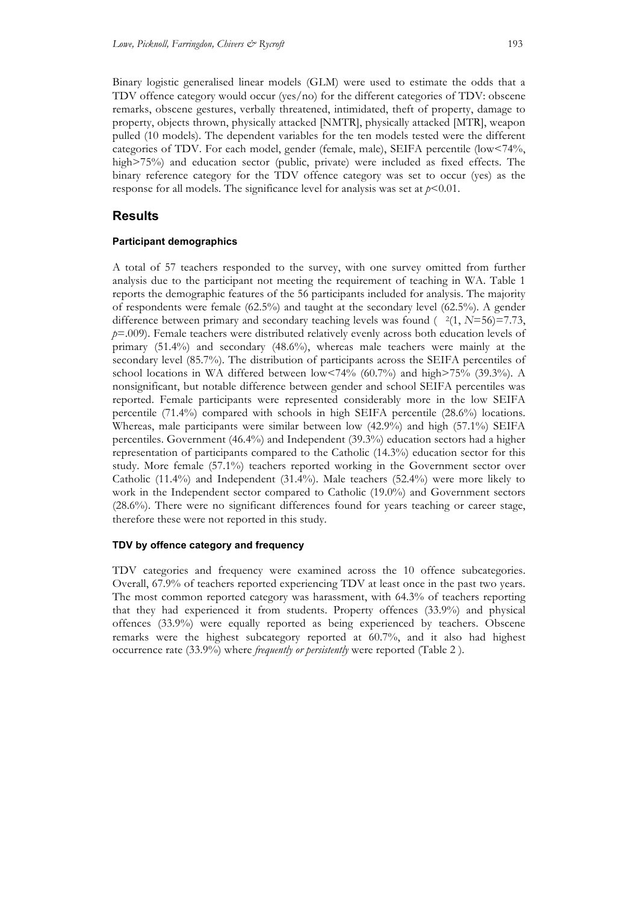Binary logistic generalised linear models (GLM) were used to estimate the odds that a TDV offence category would occur (yes/no) for the different categories of TDV: obscene remarks, obscene gestures, verbally threatened, intimidated, theft of property, damage to property, objects thrown, physically attacked [NMTR], physically attacked [MTR], weapon pulled (10 models). The dependent variables for the ten models tested were the different categories of TDV. For each model, gender (female, male), SEIFA percentile (low<74%, high>75%) and education sector (public, private) were included as fixed effects. The binary reference category for the TDV offence category was set to occur (yes) as the response for all models. The significance level for analysis was set at  $p<0.01$ .

# **Results**

### **Participant demographics**

A total of 57 teachers responded to the survey, with one survey omitted from further analysis due to the participant not meeting the requirement of teaching in WA. Table 1 reports the demographic features of the 56 participants included for analysis. The majority of respondents were female (62.5%) and taught at the secondary level (62.5%). A gender difference between primary and secondary teaching levels was found  $(2(1, N=56)=7.73,$ *p*=.009). Female teachers were distributed relatively evenly across both education levels of primary (51.4%) and secondary (48.6%), whereas male teachers were mainly at the secondary level (85.7%). The distribution of participants across the SEIFA percentiles of school locations in WA differed between low<74% (60.7%) and high>75% (39.3%). A nonsignificant, but notable difference between gender and school SEIFA percentiles was reported. Female participants were represented considerably more in the low SEIFA percentile (71.4%) compared with schools in high SEIFA percentile (28.6%) locations. Whereas, male participants were similar between low (42.9%) and high (57.1%) SEIFA percentiles. Government (46.4%) and Independent (39.3%) education sectors had a higher representation of participants compared to the Catholic (14.3%) education sector for this study. More female (57.1%) teachers reported working in the Government sector over Catholic (11.4%) and Independent (31.4%). Male teachers (52.4%) were more likely to work in the Independent sector compared to Catholic (19.0%) and Government sectors (28.6%). There were no significant differences found for years teaching or career stage, therefore these were not reported in this study.

# **TDV by offence category and frequency**

TDV categories and frequency were examined across the 10 offence subcategories. Overall, 67.9% of teachers reported experiencing TDV at least once in the past two years. The most common reported category was harassment, with 64.3% of teachers reporting that they had experienced it from students. Property offences (33.9%) and physical offences (33.9%) were equally reported as being experienced by teachers. Obscene remarks were the highest subcategory reported at 60.7%, and it also had highest occurrence rate (33.9%) where *frequently or persistently* were reported (Table 2 ).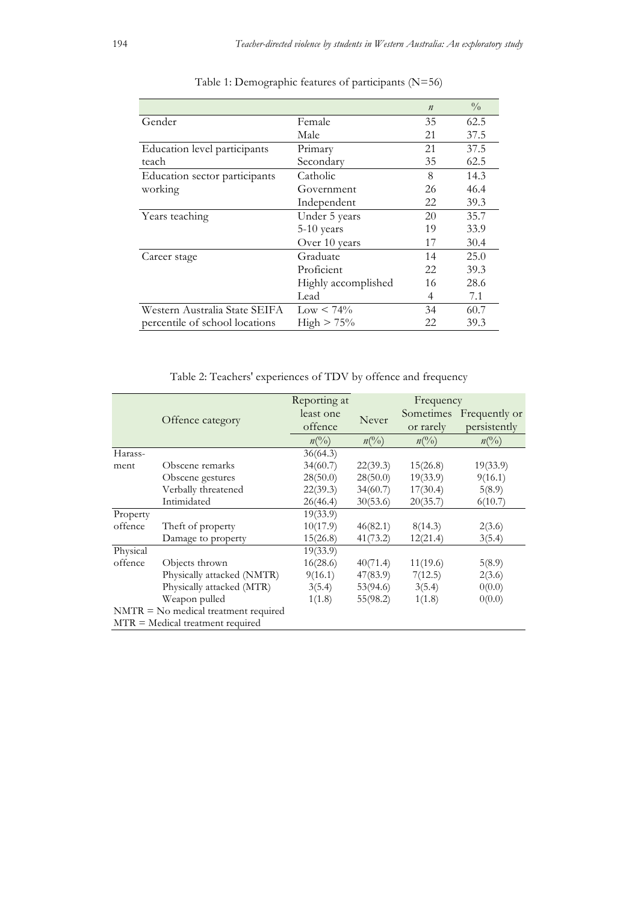|                                |                     | $\boldsymbol{n}$ | $\frac{0}{0}$ |
|--------------------------------|---------------------|------------------|---------------|
| Gender                         | Female              | 35               | 62.5          |
|                                | Male                | 21               | 37.5          |
| Education level participants   | Primary             | 21               | 37.5          |
| teach                          | Secondary           | 35               | 62.5          |
| Education sector participants  | Catholic            | 8                | 14.3          |
| working                        | Government          | 26               | 46.4          |
|                                | Independent         | 22               | 39.3          |
| Years teaching                 | Under 5 years       | 20               | 35.7          |
|                                | 5-10 years          | 19               | 33.9          |
|                                | Over 10 years       | 17               | 30.4          |
| Career stage                   | Graduate            | 14               | 25.0          |
|                                | Proficient          | 22               | 39.3          |
|                                | Highly accomplished | 16               | 28.6          |
|                                | Lead                | 4                | 7.1           |
| Western Australia State SEIFA  | $\text{Low}$ < 74%  | 34               | 60.7          |
| percentile of school locations | $High > 75\%$       | 22               | 39.3          |

# Table 1: Demographic features of participants (N=56)

Table 2: Teachers' experiences of TDV by offence and frequency

|                                        | Reporting at                                           | Frequency                 |                |                 |
|----------------------------------------|--------------------------------------------------------|---------------------------|----------------|-----------------|
|                                        | least one                                              |                           | Sometimes      | Frequently or   |
|                                        |                                                        |                           | or rarely      | persistently    |
|                                        |                                                        | $n(^{0}/_{0})$            | $n(^{0}/_{0})$ | $n\binom{0}{0}$ |
|                                        | 36(64.3)                                               |                           |                |                 |
| Obscene remarks                        | 34(60.7)                                               | 22(39.3)                  | 15(26.8)       | 19(33.9)        |
| Obscene gestures                       | 28(50.0)                                               | 28(50.0)                  | 19(33.9)       | 9(16.1)         |
| Verbally threatened                    | 22(39.3)                                               | 34(60.7)                  | 17(30.4)       | 5(8.9)          |
| Intimidated                            | 26(46.4)                                               | 30(53.6)                  | 20(35.7)       | 6(10.7)         |
|                                        | 19(33.9)                                               |                           |                |                 |
| Theft of property                      | 10(17.9)                                               | 46(82.1)                  | 8(14.3)        | 2(3.6)          |
| Damage to property                     | 15(26.8)                                               | 41(73.2)                  | 12(21.4)       | 3(5.4)          |
|                                        | 19(33.9)                                               |                           |                |                 |
| Objects thrown                         | 16(28.6)                                               | 40(71.4)                  | 11(19.6)       | 5(8.9)          |
| Physically attacked (NMTR)             | 9(16.1)                                                | 47(83.9)                  | 7(12.5)        | 2(3.6)          |
| Physically attacked (MTR)              | 3(5.4)                                                 | 53(94.6)                  | 3(5.4)         | 0(0.0)          |
| Weapon pulled                          | 1(1.8)                                                 | 55(98.2)                  | 1(1.8)         | 0(0.0)          |
| $NMTR = No$ medical treatment required |                                                        |                           |                |                 |
|                                        |                                                        |                           |                |                 |
|                                        | Offence category<br>$MTR = Medical treatment required$ | offence<br>$n(^{0}/_{0})$ | Never          |                 |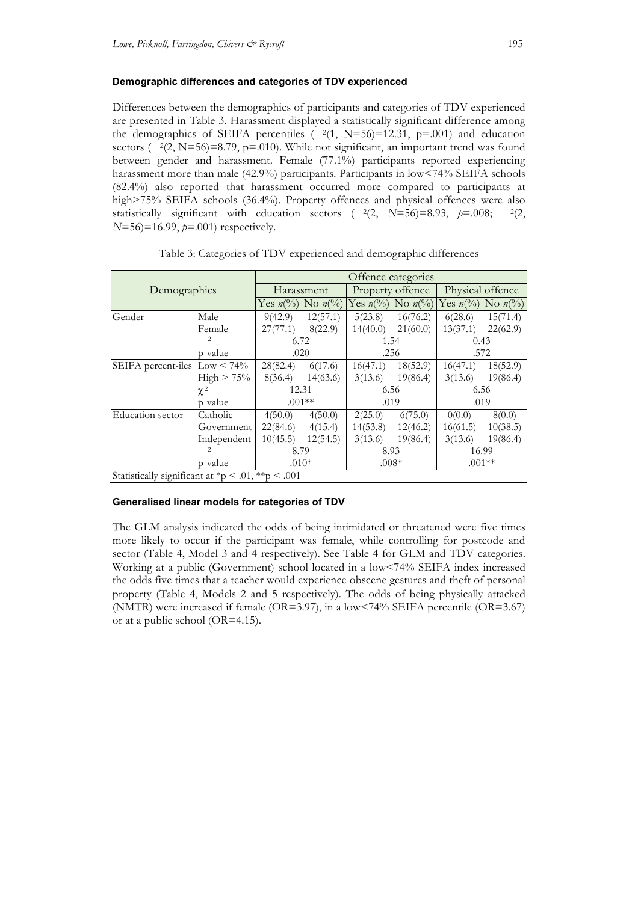### **Demographic differences and categories of TDV experienced**

Differences between the demographics of participants and categories of TDV experienced are presented in Table 3. Harassment displayed a statistically significant difference among the demographics of SEIFA percentiles  $(2(1, N=56)=12.31, p=.001)$  and education sectors ( $\frac{2(2, N=56)}{8.79, p}$ =.010). While not significant, an important trend was found between gender and harassment. Female (77.1%) participants reported experiencing harassment more than male (42.9%) participants. Participants in low<74% SEIFA schools (82.4%) also reported that harassment occurred more compared to participants at high>75% SEIFA schools (36.4%). Property offences and physical offences were also statistically significant with education sectors ( $^{2}(2, N=56)=8.93, p=.008;$   $^{2}(2, N=56)$ *N*=56)=16.99, *p*=.001) respectively.

| Demographics                                      |                | Offence categories                     |          |                  |                                  |                                        |          |
|---------------------------------------------------|----------------|----------------------------------------|----------|------------------|----------------------------------|----------------------------------------|----------|
|                                                   |                | Harassment                             |          | Property offence |                                  | Physical offence                       |          |
|                                                   |                | Yes $n\binom{0}{0}$ No $n\binom{0}{0}$ |          |                  | Yes $n\ell\$ {0} No $n\ell\ell\$ | Yes $n\binom{0}{0}$ No $n\binom{0}{0}$ |          |
| Gender                                            | Male           | 9(42.9)                                | 12(57.1) | 5(23.8)          | 16(76.2)                         | 6(28.6)                                | 15(71.4) |
|                                                   | Female         | 27(77.1)                               | 8(22.9)  | 14(40.0)         | 21(60.0)                         | 13(37.1)                               | 22(62.9) |
|                                                   | $\overline{c}$ | 6.72                                   |          | 1.54             |                                  | 0.43                                   |          |
|                                                   | p-value        | .020                                   |          | .256             |                                  | .572                                   |          |
| SEIFA percent-iles $Low < 74\%$                   |                | 28(82.4)                               | 6(17.6)  | 16(47.1)         | 18(52.9)                         | 16(47.1)                               | 18(52.9) |
|                                                   | $High > 75\%$  | 8(36.4)                                | 14(63.6) | 3(13.6)          | 19(86.4)                         | 3(13.6)                                | 19(86.4) |
|                                                   | $\chi^2$       | 12.31<br>$.001**$                      |          | 6.56             |                                  | 6.56                                   |          |
|                                                   | p-value        |                                        |          | .019             |                                  | .019                                   |          |
| Education sector                                  | Catholic       | 4(50.0)                                | 4(50.0)  | 2(25.0)          | 6(75.0)                          | 0(0.0)                                 | 8(0.0)   |
|                                                   | Government     | 22(84.6)                               | 4(15.4)  | 14(53.8)         | 12(46.2)                         | 16(61.5)                               | 10(38.5) |
|                                                   | Independent    | 10(45.5)                               | 12(54.5) | 3(13.6)          | 19(86.4)                         | 3(13.6)                                | 19(86.4) |
|                                                   | $\overline{c}$ | 8.79                                   |          | 8.93             |                                  | 16.99                                  |          |
| p-value                                           |                | $.010*$                                |          | $.008*$          |                                  | $.001**$                               |          |
| Statistically significant at *p < .01, **p < .001 |                |                                        |          |                  |                                  |                                        |          |

Table 3: Categories of TDV experienced and demographic differences

#### **Generalised linear models for categories of TDV**

The GLM analysis indicated the odds of being intimidated or threatened were five times more likely to occur if the participant was female, while controlling for postcode and sector (Table 4, Model 3 and 4 respectively). See Table 4 for GLM and TDV categories. Working at a public (Government) school located in a low<74% SEIFA index increased the odds five times that a teacher would experience obscene gestures and theft of personal property (Table 4, Models 2 and 5 respectively). The odds of being physically attacked (NMTR) were increased if female (OR=3.97), in a low<74% SEIFA percentile (OR=3.67) or at a public school (OR=4.15).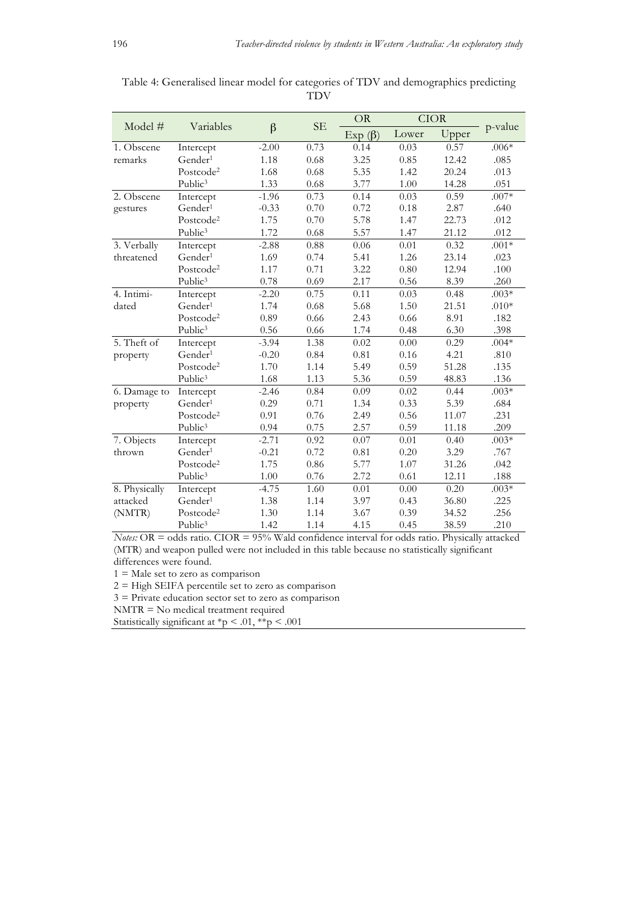|               | Variables             |         | <b>SE</b> | <b>OR</b>     | <b>CIOR</b> |       |         |
|---------------|-----------------------|---------|-----------|---------------|-------------|-------|---------|
| Model $#$     |                       | $\beta$ |           | Exp $(\beta)$ | Lower       | Upper | p-value |
| 1. Obscene    | Intercept             | $-2.00$ | 0.73      | 0.14          | 0.03        | 0.57  | $.006*$ |
| remarks       | Gender <sup>1</sup>   | 1.18    | 0.68      | 3.25          | 0.85        | 12.42 | .085    |
|               | Postcode <sup>2</sup> | 1.68    | 0.68      | 5.35          | 1.42        | 20.24 | .013    |
|               | Public <sup>3</sup>   | 1.33    | 0.68      | 3.77          | 1.00        | 14.28 | .051    |
| 2. Obscene    | Intercept             | $-1.96$ | 0.73      | 0.14          | 0.03        | 0.59  | $.007*$ |
| gestures      | Gender <sup>1</sup>   | $-0.33$ | 0.70      | 0.72          | 0.18        | 2.87  | .640    |
|               | Postcode <sup>2</sup> | 1.75    | 0.70      | 5.78          | 1.47        | 22.73 | .012    |
|               | Public <sup>3</sup>   | 1.72    | 0.68      | 5.57          | 1.47        | 21.12 | .012    |
| 3. Verbally   | Intercept             | $-2.88$ | $0.88\,$  | 0.06          | 0.01        | 0.32  | $.001*$ |
| threatened    | Gender <sup>1</sup>   | 1.69    | 0.74      | 5.41          | 1.26        | 23.14 | .023    |
|               | Postcode <sup>2</sup> | 1.17    | 0.71      | 3.22          | 0.80        | 12.94 | .100    |
|               | Public <sup>3</sup>   | 0.78    | 0.69      | 2.17          | 0.56        | 8.39  | .260    |
| 4. Intimi-    | Intercept             | $-2.20$ | 0.75      | 0.11          | 0.03        | 0.48  | $.003*$ |
| dated         | Gender <sup>1</sup>   | 1.74    | 0.68      | 5.68          | 1.50        | 21.51 | $.010*$ |
|               | Postcode <sup>2</sup> | 0.89    | 0.66      | 2.43          | 0.66        | 8.91  | .182    |
|               | Public <sup>3</sup>   | 0.56    | 0.66      | 1.74          | 0.48        | 6.30  | .398    |
| 5. Theft of   | Intercept             | $-3.94$ | 1.38      | 0.02          | 0.00        | 0.29  | $.004*$ |
| property      | Gender <sup>1</sup>   | $-0.20$ | 0.84      | 0.81          | 0.16        | 4.21  | .810    |
|               | Postcode <sup>2</sup> | 1.70    | 1.14      | 5.49          | 0.59        | 51.28 | .135    |
|               | Public <sup>3</sup>   | 1.68    | 1.13      | 5.36          | 0.59        | 48.83 | .136    |
| 6. Damage to  | Intercept             | $-2.46$ | 0.84      | 0.09          | 0.02        | 0.44  | $.003*$ |
| property      | Gender <sup>1</sup>   | 0.29    | 0.71      | 1.34          | 0.33        | 5.39  | .684    |
|               | Postcode <sup>2</sup> | 0.91    | 0.76      | 2.49          | 0.56        | 11.07 | .231    |
|               | Public <sup>3</sup>   | 0.94    | 0.75      | 2.57          | 0.59        | 11.18 | .209    |
| 7. Objects    | Intercept             | $-2.71$ | 0.92      | 0.07          | 0.01        | 0.40  | $.003*$ |
| thrown        | Gender <sup>1</sup>   | $-0.21$ | 0.72      | 0.81          | 0.20        | 3.29  | .767    |
|               | Postcode <sup>2</sup> | 1.75    | 0.86      | 5.77          | 1.07        | 31.26 | .042    |
|               | Public <sup>3</sup>   | 1.00    | 0.76      | 2.72          | 0.61        | 12.11 | .188    |
| 8. Physically | Intercept             | $-4.75$ | 1.60      | 0.01          | 0.00        | 0.20  | $.003*$ |
| attacked      | Gender <sup>1</sup>   | 1.38    | 1.14      | 3.97          | 0.43        | 36.80 | .225    |
| (NMTR)        | Postcode <sup>2</sup> | 1.30    | 1.14      | 3.67          | 0.39        | 34.52 | .256    |
|               | Public <sup>3</sup>   | 1.42    | 1.14      | 4.15          | 0.45        | 38.59 | .210    |

Table 4: Generalised linear model for categories of TDV and demographics predicting TDV

*Notes:* OR = odds ratio. CIOR = 95% Wald confidence interval for odds ratio. Physically attacked (MTR) and weapon pulled were not included in this table because no statistically significant differences were found.

 $1 =$ Male set to zero as comparison

 $2 =$  High SEIFA percentile set to zero as comparison

3 = Private education sector set to zero as comparison

NMTR = No medical treatment required

Statistically significant at  ${}^*\mathsf{p}$  < .01,  ${}^*\mathsf{p}$  < .001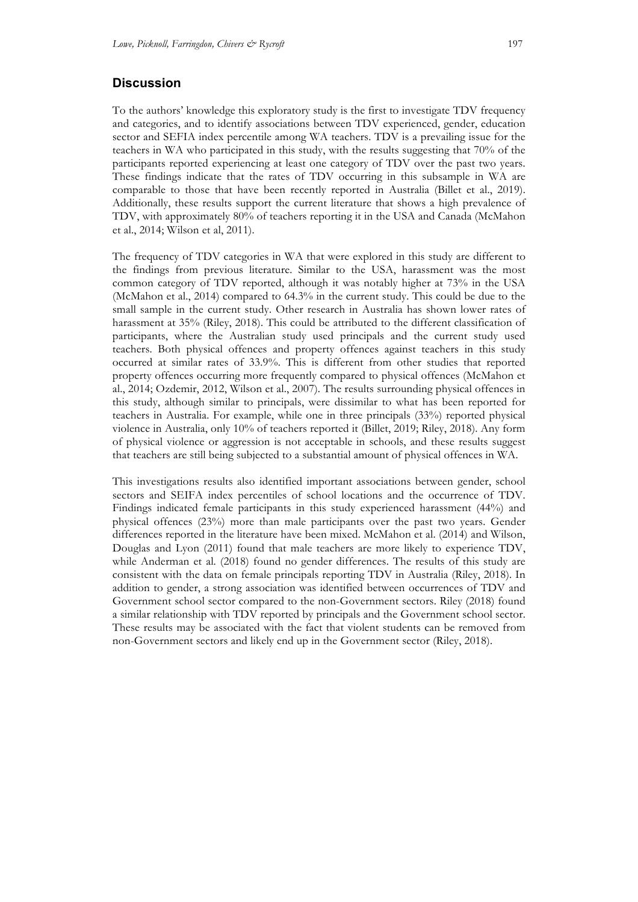# **Discussion**

To the authors' knowledge this exploratory study is the first to investigate TDV frequency and categories, and to identify associations between TDV experienced, gender, education sector and SEFIA index percentile among WA teachers. TDV is a prevailing issue for the teachers in WA who participated in this study, with the results suggesting that 70% of the participants reported experiencing at least one category of TDV over the past two years. These findings indicate that the rates of TDV occurring in this subsample in WA are comparable to those that have been recently reported in Australia (Billet et al., 2019). Additionally, these results support the current literature that shows a high prevalence of TDV, with approximately 80% of teachers reporting it in the USA and Canada (McMahon et al., 2014; Wilson et al, 2011).

The frequency of TDV categories in WA that were explored in this study are different to the findings from previous literature. Similar to the USA, harassment was the most common category of TDV reported, although it was notably higher at 73% in the USA (McMahon et al., 2014) compared to 64.3% in the current study. This could be due to the small sample in the current study. Other research in Australia has shown lower rates of harassment at 35% (Riley, 2018). This could be attributed to the different classification of participants, where the Australian study used principals and the current study used teachers. Both physical offences and property offences against teachers in this study occurred at similar rates of 33.9%. This is different from other studies that reported property offences occurring more frequently compared to physical offences (McMahon et al., 2014; Ozdemir, 2012, Wilson et al., 2007). The results surrounding physical offences in this study, although similar to principals, were dissimilar to what has been reported for teachers in Australia. For example, while one in three principals (33%) reported physical violence in Australia, only 10% of teachers reported it (Billet, 2019; Riley, 2018). Any form of physical violence or aggression is not acceptable in schools, and these results suggest that teachers are still being subjected to a substantial amount of physical offences in WA.

This investigations results also identified important associations between gender, school sectors and SEIFA index percentiles of school locations and the occurrence of TDV. Findings indicated female participants in this study experienced harassment (44%) and physical offences (23%) more than male participants over the past two years. Gender differences reported in the literature have been mixed. McMahon et al. (2014) and Wilson, Douglas and Lyon (2011) found that male teachers are more likely to experience TDV, while Anderman et al. (2018) found no gender differences. The results of this study are consistent with the data on female principals reporting TDV in Australia (Riley, 2018). In addition to gender, a strong association was identified between occurrences of TDV and Government school sector compared to the non-Government sectors. Riley (2018) found a similar relationship with TDV reported by principals and the Government school sector. These results may be associated with the fact that violent students can be removed from non-Government sectors and likely end up in the Government sector (Riley, 2018).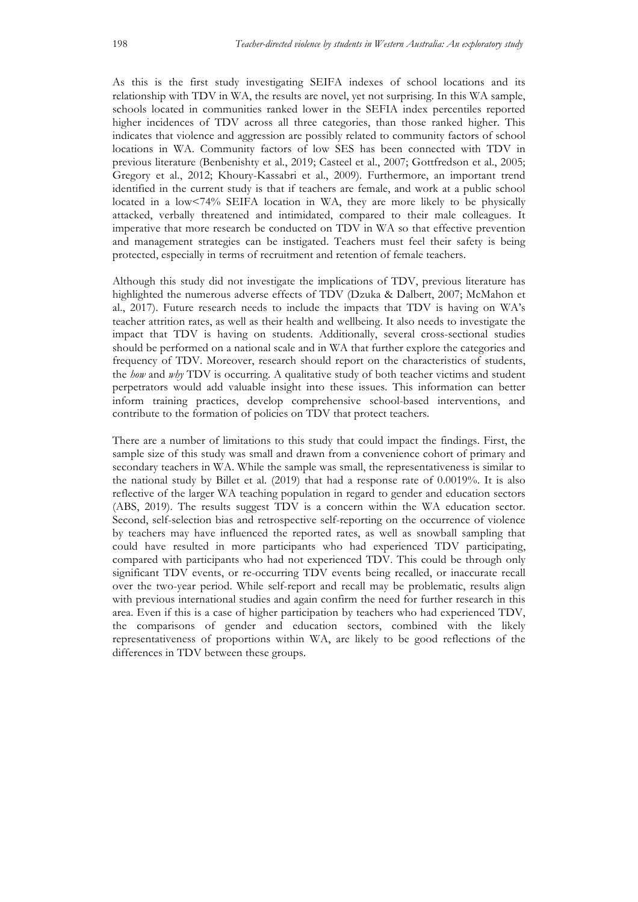As this is the first study investigating SEIFA indexes of school locations and its relationship with TDV in WA, the results are novel, yet not surprising. In this WA sample, schools located in communities ranked lower in the SEFIA index percentiles reported higher incidences of TDV across all three categories, than those ranked higher. This indicates that violence and aggression are possibly related to community factors of school locations in WA. Community factors of low SES has been connected with TDV in previous literature (Benbenishty et al., 2019; Casteel et al., 2007; Gottfredson et al., 2005; Gregory et al., 2012; Khoury-Kassabri et al., 2009). Furthermore, an important trend identified in the current study is that if teachers are female, and work at a public school located in a low<74% SEIFA location in WA, they are more likely to be physically attacked, verbally threatened and intimidated, compared to their male colleagues. It imperative that more research be conducted on TDV in WA so that effective prevention and management strategies can be instigated. Teachers must feel their safety is being protected, especially in terms of recruitment and retention of female teachers.

Although this study did not investigate the implications of TDV, previous literature has highlighted the numerous adverse effects of TDV (Dzuka & Dalbert, 2007; McMahon et al., 2017). Future research needs to include the impacts that TDV is having on WA's teacher attrition rates, as well as their health and wellbeing. It also needs to investigate the impact that TDV is having on students. Additionally, several cross-sectional studies should be performed on a national scale and in WA that further explore the categories and frequency of TDV. Moreover, research should report on the characteristics of students, the *how* and *why* TDV is occurring. A qualitative study of both teacher victims and student perpetrators would add valuable insight into these issues. This information can better inform training practices, develop comprehensive school-based interventions, and contribute to the formation of policies on TDV that protect teachers.

There are a number of limitations to this study that could impact the findings. First, the sample size of this study was small and drawn from a convenience cohort of primary and secondary teachers in WA. While the sample was small, the representativeness is similar to the national study by Billet et al. (2019) that had a response rate of 0.0019%. It is also reflective of the larger WA teaching population in regard to gender and education sectors (ABS, 2019). The results suggest TDV is a concern within the WA education sector. Second, self-selection bias and retrospective self-reporting on the occurrence of violence by teachers may have influenced the reported rates, as well as snowball sampling that could have resulted in more participants who had experienced TDV participating, compared with participants who had not experienced TDV. This could be through only significant TDV events, or re-occurring TDV events being recalled, or inaccurate recall over the two-year period. While self-report and recall may be problematic, results align with previous international studies and again confirm the need for further research in this area. Even if this is a case of higher participation by teachers who had experienced TDV, the comparisons of gender and education sectors, combined with the likely representativeness of proportions within WA, are likely to be good reflections of the differences in TDV between these groups.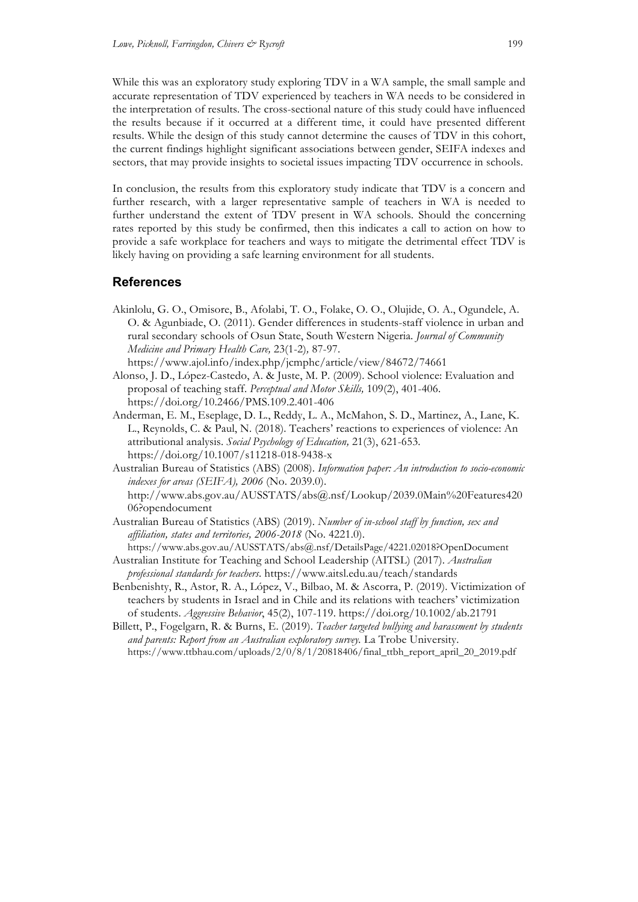While this was an exploratory study exploring TDV in a WA sample, the small sample and accurate representation of TDV experienced by teachers in WA needs to be considered in the interpretation of results. The cross-sectional nature of this study could have influenced the results because if it occurred at a different time, it could have presented different results. While the design of this study cannot determine the causes of TDV in this cohort, the current findings highlight significant associations between gender, SEIFA indexes and sectors, that may provide insights to societal issues impacting TDV occurrence in schools.

In conclusion, the results from this exploratory study indicate that TDV is a concern and further research, with a larger representative sample of teachers in WA is needed to further understand the extent of TDV present in WA schools. Should the concerning rates reported by this study be confirmed, then this indicates a call to action on how to provide a safe workplace for teachers and ways to mitigate the detrimental effect TDV is likely having on providing a safe learning environment for all students.

# **References**

- Akinlolu, G. O., Omisore, B., Afolabi, T. O., Folake, O. O., Olujide, O. A., Ogundele, A. O. & Agunbiade, O. (2011). Gender differences in students-staff violence in urban and rural secondary schools of Osun State, South Western Nigeria. *Journal of Community Medicine and Primary Health Care,* 23(1-2)*,* 87-97. https://www.ajol.info/index.php/jcmphc/article/view/84672/74661
- Alonso, J. D., López-Castedo, A. & Juste, M. P. (2009). School violence: Evaluation and proposal of teaching staff. *Perceptual and Motor Skills,* 109(2), 401-406. https://doi.org/10.2466/PMS.109.2.401-406
- Anderman, E. M., Eseplage, D. L., Reddy, L. A., McMahon, S. D., Martinez, A., Lane, K. L., Reynolds, C. & Paul, N. (2018). Teachers' reactions to experiences of violence: An attributional analysis. *Social Psychology of Education,* 21(3), 621-653. https://doi.org/10.1007/s11218-018-9438-x
- Australian Bureau of Statistics (ABS) (2008). *Information paper: An introduction to socio-economic indexes for areas (SEIFA), 2006* (No. 2039.0). http://www.abs.gov.au/AUSSTATS/abs@.nsf/Lookup/2039.0Main%20Features420 06?opendocument
- Australian Bureau of Statistics (ABS) (2019). *Number of in-school staff by function, sex and affiliation, states and territories, 2006-2018* (No. 4221.0). https://www.abs.gov.au/AUSSTATS/abs@.nsf/DetailsPage/4221.02018?OpenDocument
- Australian Institute for Teaching and School Leadership (AITSL) (2017). *Australian professional standards for teachers*. https://www.aitsl.edu.au/teach/standards
- Benbenishty, R., Astor, R. A., López, V., Bilbao, M. & Ascorra, P. (2019). Victimization of teachers by students in Israel and in Chile and its relations with teachers' victimization of students. *Aggressive Behavior*, 45(2), 107-119. https://doi.org/10.1002/ab.21791
- Billett, P., Fogelgarn, R. & Burns, E. (2019). *Teacher targeted bullying and harassment by students and parents: Report from an Australian exploratory survey.* La Trobe University. https://www.ttbhau.com/uploads/2/0/8/1/20818406/final\_ttbh\_report\_april\_20\_2019.pdf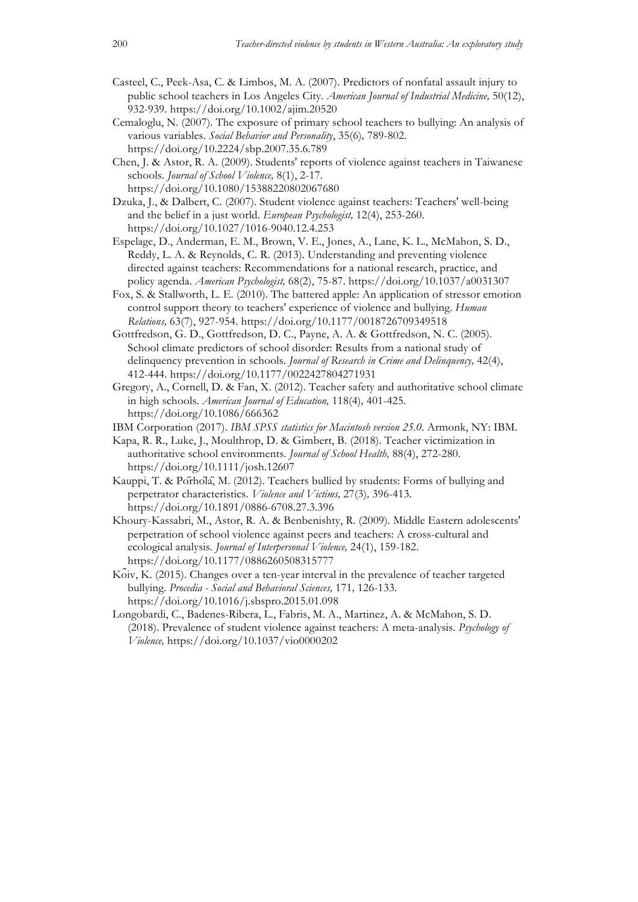- Casteel, C., Peek-Asa, C. & Limbos, M. A. (2007). Predictors of nonfatal assault injury to public school teachers in Los Angeles City. *American Journal of Industrial Medicine,* 50(12), 932-939. https://doi.org/10.1002/ajim.20520
- Cemaloglu, N. (2007). The exposure of primary school teachers to bullying: An analysis of various variables. *Social Behavior and Personality*, 35(6)*,* 789-802. https://doi.org/10.2224/sbp.2007.35.6.789
- Chen, J. & Astor, R. A. (2009). Students' reports of violence against teachers in Taiwanese schools. *Journal of School Violence,* 8(1), 2-17. https://doi.org/10.1080/15388220802067680
- Dzuka, J., & Dalbert, C. (2007). Student violence against teachers: Teachers' well-being and the belief in a just world. *European Psychologist,* 12(4), 253-260. https://doi.org/10.1027/1016-9040.12.4.253
- Espelage, D., Anderman, E. M., Brown, V. E., Jones, A., Lane, K. L., McMahon, S. D., Reddy, L. A. & Reynolds, C. R. (2013). Understanding and preventing violence directed against teachers: Recommendations for a national research, practice, and policy agenda. *American Psychologist,* 68(2), 75-87. https://doi.org/10.1037/a0031307
- Fox, S. & Stallworth, L. E. (2010). The battered apple: An application of stressor emotion control support theory to teachers' experience of violence and bullying. *Human Relations,* 63(7), 927-954. https://doi.org/10.1177/0018726709349518
- Gottfredson, G. D., Gottfredson, D. C., Payne, A. A. & Gottfredson, N. C. (2005). School climate predictors of school disorder: Results from a national study of delinquency prevention in schools. *Journal of Research in Crime and Delinquency,* 42(4), 412-444. https://doi.org/10.1177/0022427804271931
- Gregory, A., Cornell, D. & Fan, X. (2012). Teacher safety and authoritative school climate in high schools. *American Journal of Education,* 118(4)*,* 401-425. https://doi.org/10.1086/666362
- IBM Corporation (2017). *IBM SPSS statistics for Macintosh version 25.0*. Armonk, NY: IBM.
- Kapa, R. R., Luke, J., Moulthrop, D. & Gimbert, B. (2018). Teacher victimization in authoritative school environments. *Journal of School Health,* 88(4), 272-280. https://doi.org/10.1111/josh.12607
- Kauppi, T. & Pörhölä, M. (2012). Teachers bullied by students: Forms of bullying and perpetrator characteristics. *Violence and Victims,* 27(3)*,* 396-413. https://doi.org/10.1891/0886-6708.27.3.396
- Khoury-Kassabri, M., Astor, R. A. & Benbenishty, R. (2009). Middle Eastern adolescents' perpetration of school violence against peers and teachers: A cross-cultural and ecological analysis. *Journal of Interpersonal Violence,* 24(1), 159-182. https://doi.org/10.1177/0886260508315777
- Koïv, K. (2015). Changes over a ten-year interval in the prevalence of teacher targeted bullying. *Procedia - Social and Behavioral Sciences,* 171*,* 126-133. https://doi.org/10.1016/j.sbspro.2015.01.098
- Longobardi, C., Badenes-Ribera, L., Fabris, M. A., Martinez, A. & McMahon, S. D. (2018). Prevalence of student violence against teachers: A meta-analysis. *Psychology of Violence,* https://doi.org/10.1037/vio0000202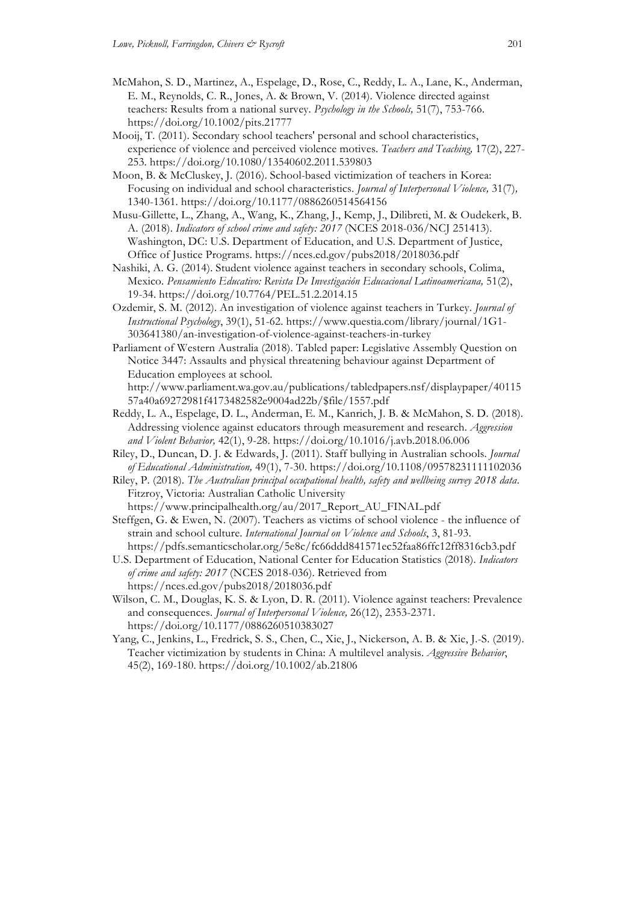- McMahon, S. D., Martinez, A., Espelage, D., Rose, C., Reddy, L. A., Lane, K., Anderman, E. M., Reynolds, C. R., Jones, A. & Brown, V. (2014). Violence directed against teachers: Results from a national survey. *Psychology in the Schools,* 51(7), 753-766. https://doi.org/10.1002/pits.21777
- Mooij, T. (2011). Secondary school teachers' personal and school characteristics, experience of violence and perceived violence motives. *Teachers and Teaching,* 17(2), 227- 253. https://doi.org/10.1080/13540602.2011.539803
- Moon, B. & McCluskey, J. (2016). School-based victimization of teachers in Korea: Focusing on individual and school characteristics. *Journal of Interpersonal Violence,* 31(7)*,*  1340-1361. https://doi.org/10.1177/0886260514564156
- Musu-Gillette, L., Zhang, A., Wang, K., Zhang, J., Kemp, J., Dilibreti, M. & Oudekerk, B. A. (2018). *Indicators of school crime and safety: 2017* (NCES 2018-036/NCJ 251413). Washington, DC: U.S. Department of Education, and U.S. Department of Justice, Office of Justice Programs. https://nces.ed.gov/pubs2018/2018036.pdf
- Nashiki, A. G. (2014). Student violence against teachers in secondary schools, Colima, Mexico. *Pensamiento Educativo: Revista De Investigación Educacional Latinoamericana,* 51(2), 19-34. https://doi.org/10.7764/PEL.51.2.2014.15
- Ozdemir, S. M. (2012). An investigation of violence against teachers in Turkey. *Journal of Instructional Psychology*, 39(1), 51-62. https://www.questia.com/library/journal/1G1- 303641380/an-investigation-of-violence-against-teachers-in-turkey
- Parliament of Western Australia (2018). Tabled paper: Legislative Assembly Question on Notice 3447: Assaults and physical threatening behaviour against Department of Education employees at school.

http://www.parliament.wa.gov.au/publications/tabledpapers.nsf/displaypaper/40115 57a40a69272981f4173482582e9004ad22b/\$file/1557.pdf

- Reddy, L. A., Espelage, D. L., Anderman, E. M., Kanrich, J. B. & McMahon, S. D. (2018). Addressing violence against educators through measurement and research. *Aggression and Violent Behavior,* 42(1), 9-28. https://doi.org/10.1016/j.avb.2018.06.006
- Riley, D., Duncan, D. J. & Edwards, J. (2011). Staff bullying in Australian schools. *Journal of Educational Administration,* 49(1), 7-30. https://doi.org/10.1108/09578231111102036

Riley, P. (2018). *The Australian principal occupational health, safety and wellbeing survey 2018 data*. Fitzroy, Victoria: Australian Catholic University https://www.principalhealth.org/au/2017\_Report\_AU\_FINAL.pdf

Steffgen, G. & Ewen, N. (2007). Teachers as victims of school violence - the influence of strain and school culture. *International Journal on Violence and Schools*, 3, 81-93. https://pdfs.semanticscholar.org/5e8c/fc66ddd841571ec52faa86ffc12ff8316cb3.pdf

U.S. Department of Education, National Center for Education Statistics (2018). *Indicators of crime and safety: 2017* (NCES 2018-036). Retrieved from https://nces.ed.gov/pubs2018/2018036.pdf

- Wilson, C. M., Douglas, K. S. & Lyon, D. R. (2011). Violence against teachers: Prevalence and consequences. *Journal of Interpersonal Violence,* 26(12), 2353-2371. https://doi.org/10.1177/0886260510383027
- Yang, C., Jenkins, L., Fredrick, S. S., Chen, C., Xie, J., Nickerson, A. B. & Xie, J.-S. (2019). Teacher victimization by students in China: A multilevel analysis. *Aggressive Behavior*, 45(2), 169-180. https://doi.org/10.1002/ab.21806